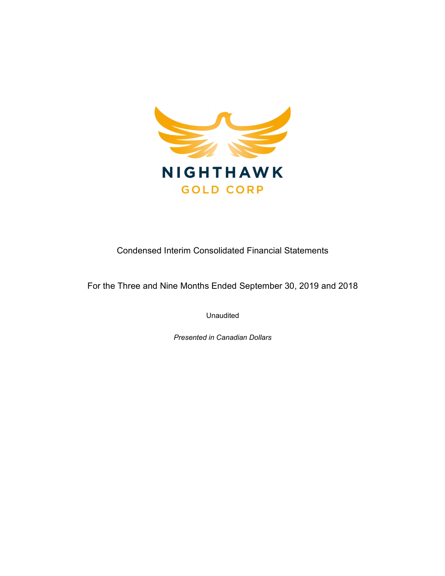

Condensed Interim Consolidated Financial Statements

For the Three and Nine Months Ended September 30, 2019 and 2018

Unaudited

Presented in Canadian Dollars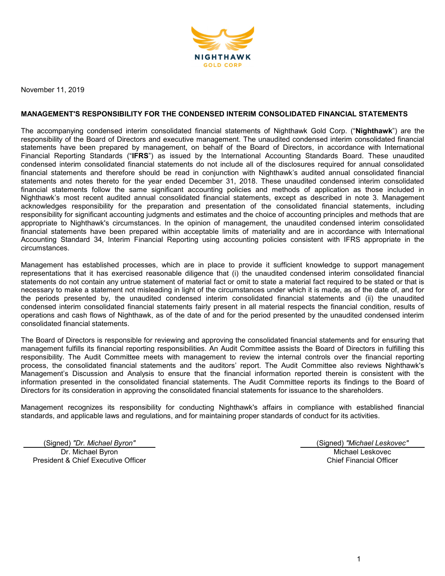

November 11, 2019

## MANAGEMENT'S RESPONSIBILITY FOR THE CONDENSED INTERIM CONSOLIDATED FINANCIAL STATEMENTS

The accompanying condensed interim consolidated financial statements of Nighthawk Gold Corp. ("Nighthawk") are the responsibility of the Board of Directors and executive management. The unaudited condensed interim consolidated financial statements have been prepared by management, on behalf of the Board of Directors, in accordance with International Financial Reporting Standards ("IFRS") as issued by the International Accounting Standards Board. These unaudited condensed interim consolidated financial statements do not include all of the disclosures required for annual consolidated financial statements and therefore should be read in conjunction with Nighthawk's audited annual consolidated financial statements and notes thereto for the year ended December 31, 2018. These unaudited condensed interim consolidated financial statements follow the same significant accounting policies and methods of application as those included in Nighthawk's most recent audited annual consolidated financial statements, except as described in note 3. Management acknowledges responsibility for the preparation and presentation of the consolidated financial statements, including responsibility for significant accounting judgments and estimates and the choice of accounting principles and methods that are appropriate to Nighthawk's circumstances. In the opinion of management, the unaudited condensed interim consolidated financial statements have been prepared within acceptable limits of materiality and are in accordance with International Accounting Standard 34, Interim Financial Reporting using accounting policies consistent with IFRS appropriate in the circumstances.

Management has established processes, which are in place to provide it sufficient knowledge to support management representations that it has exercised reasonable diligence that (i) the unaudited condensed interim consolidated financial statements do not contain any untrue statement of material fact or omit to state a material fact required to be stated or that is necessary to make a statement not misleading in light of the circumstances under which it is made, as of the date of, and for the periods presented by, the unaudited condensed interim consolidated financial statements and (ii) the unaudited condensed interim consolidated financial statements fairly present in all material respects the financial condition, results of operations and cash flows of Nighthawk, as of the date of and for the period presented by the unaudited condensed interim consolidated financial statements.

The Board of Directors is responsible for reviewing and approving the consolidated financial statements and for ensuring that management fulfills its financial reporting responsibilities. An Audit Committee assists the Board of Directors in fulfilling this responsibility. The Audit Committee meets with management to review the internal controls over the financial reporting process, the consolidated financial statements and the auditors' report. The Audit Committee also reviews Nighthawk's Management's Discussion and Analysis to ensure that the financial information reported therein is consistent with the information presented in the consolidated financial statements. The Audit Committee reports its findings to the Board of Directors for its consideration in approving the consolidated financial statements for issuance to the shareholders.

Management recognizes its responsibility for conducting Nighthawk's affairs in compliance with established financial standards, and applicable laws and regulations, and for maintaining proper standards of conduct for its activities.

(Signed) "Dr. Michael Byron" (Signed) "Michael Leskovec" Dr. Michael Byron President & Chief Executive Officer

Michael Leskovec Chief Financial Officer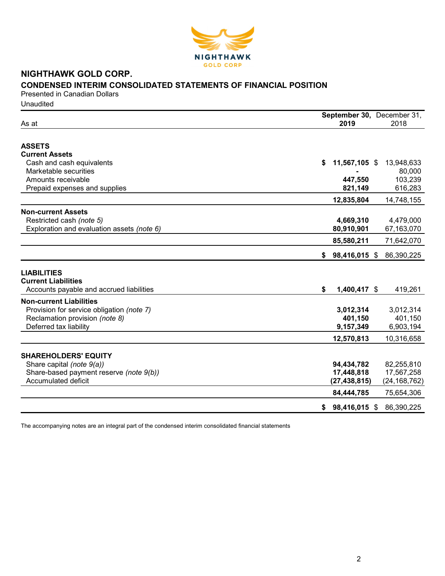

# NIGHTHAWK GOLD CORP. CONDENSED INTERIM CONSOLIDATED STATEMENTS OF FINANCIAL POSITION

Presented in Canadian Dollars **Unaudited** 

| As at                                                                                                                                   |    | September 30, December 31,<br>2019         | 2018                                       |
|-----------------------------------------------------------------------------------------------------------------------------------------|----|--------------------------------------------|--------------------------------------------|
| <b>ASSETS</b>                                                                                                                           |    |                                            |                                            |
| <b>Current Assets</b><br>Cash and cash equivalents<br>Marketable securities<br>Amounts receivable<br>Prepaid expenses and supplies      | S  | 11,567,105 \$<br>447,550<br>821,149        | 13,948,633<br>80,000<br>103,239<br>616,283 |
|                                                                                                                                         |    | 12,835,804                                 | 14,748,155                                 |
| <b>Non-current Assets</b><br>Restricted cash (note 5)<br>Exploration and evaluation assets (note 6)                                     |    | 4,669,310<br>80,910,901                    | 4,479,000<br>67,163,070                    |
|                                                                                                                                         |    | 85,580,211                                 | 71,642,070                                 |
|                                                                                                                                         |    | $$98,416,015$ \$                           | 86,390,225                                 |
| <b>LIABILITIES</b><br><b>Current Liabilities</b><br>Accounts payable and accrued liabilities                                            | \$ | 1,400,417 \$                               | 419,261                                    |
| <b>Non-current Liabilities</b><br>Provision for service obligation (note 7)<br>Reclamation provision (note 8)<br>Deferred tax liability |    | 3,012,314<br>401,150<br>9,157,349          | 3,012,314<br>401,150<br>6,903,194          |
|                                                                                                                                         |    | 12,570,813                                 | 10,316,658                                 |
| <b>SHAREHOLDERS' EQUITY</b><br>Share capital (note 9(a))<br>Share-based payment reserve (note 9(b))<br><b>Accumulated deficit</b>       |    | 94,434,782<br>17,448,818<br>(27, 438, 815) | 82,255,810<br>17,567,258<br>(24, 168, 762) |
|                                                                                                                                         |    | 84,444,785                                 | 75,654,306                                 |
|                                                                                                                                         | \$ | 98,416,015 \$                              | 86,390,225                                 |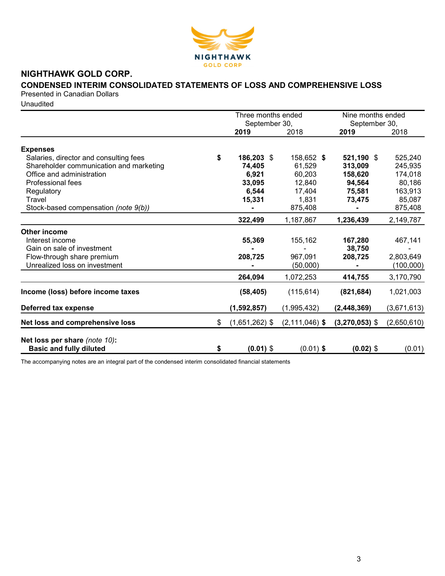

# NIGHTHAWK GOLD CORP.

# CONDENSED INTERIM CONSOLIDATED STATEMENTS OF LOSS AND COMPREHENSIVE LOSS

Presented in Canadian Dollars

Unaudited

|                                                                 | Three months ended     |                    | Nine months ended     |             |  |
|-----------------------------------------------------------------|------------------------|--------------------|-----------------------|-------------|--|
|                                                                 | September 30,<br>2019  | 2018               | September 30,<br>2019 | 2018        |  |
| <b>Expenses</b>                                                 |                        |                    |                       |             |  |
| Salaries, director and consulting fees                          | \$<br>186,203 \$       | 158,652 \$         | 521,190 \$            | 525,240     |  |
| Shareholder communication and marketing                         | 74,405                 | 61,529             | 313,009               | 245,935     |  |
| Office and administration                                       | 6,921                  | 60,203             |                       | 174,018     |  |
| Professional fees                                               | 33,095                 | 12,840             | 158,620<br>94,564     | 80,186      |  |
| Regulatory                                                      | 6,544                  | 17,404             | 75,581                | 163,913     |  |
| Travel                                                          | 15,331                 | 1,831              | 73,475                | 85,087      |  |
| Stock-based compensation (note 9(b))                            |                        | 875,408            |                       | 875,408     |  |
|                                                                 | 322,499                |                    |                       |             |  |
|                                                                 |                        | 1,187,867          | 1,236,439             | 2,149,787   |  |
| <b>Other income</b>                                             |                        |                    |                       |             |  |
| Interest income                                                 | 55,369                 | 155,162            | 167,280               | 467,141     |  |
| Gain on sale of investment                                      |                        |                    | 38.750                |             |  |
| Flow-through share premium                                      | 208,725                | 967,091            | 208,725               | 2,803,649   |  |
| Unrealized loss on investment                                   |                        | (50,000)           |                       | (100,000)   |  |
|                                                                 | 264,094                | 1,072,253          | 414,755               | 3,170,790   |  |
| Income (loss) before income taxes                               | (58, 405)              | (115, 614)         | (821, 684)            | 1,021,003   |  |
| Deferred tax expense                                            | (1, 592, 857)          | (1,995,432)        | (2, 448, 369)         | (3,671,613) |  |
| Net loss and comprehensive loss                                 | \$<br>$(1,651,262)$ \$ | $(2, 111, 046)$ \$ | $(3,270,053)$ \$      | (2,650,610) |  |
| Net loss per share (note 10):<br><b>Basic and fully diluted</b> | \$<br>$(0.01)$ \$      | $(0.01)$ \$        | $(0.02)$ \$           | (0.01)      |  |
|                                                                 |                        |                    |                       |             |  |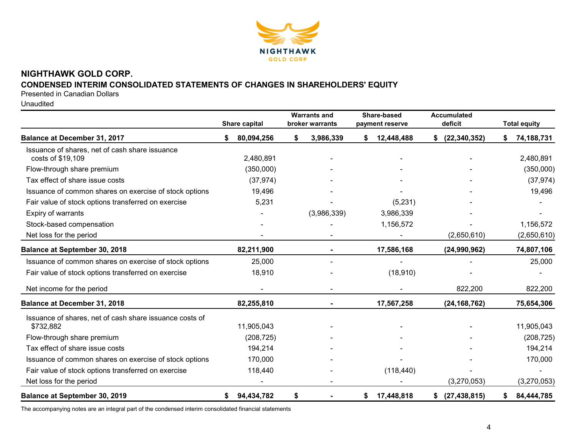

# NIGHTHAWK GOLD CORP.

# CONDENSED INTERIM CONSOLIDATED STATEMENTS OF CHANGES IN SHAREHOLDERS' EQUITY

Presented in Canadian Dollars

Unaudited

|                                                                      | Share capital    | <b>Warrants and</b><br>broker warrants | Share-based<br>payment reserve | <b>Accumulated</b><br>deficit | <b>Total equity</b> |
|----------------------------------------------------------------------|------------------|----------------------------------------|--------------------------------|-------------------------------|---------------------|
| Balance at December 31, 2017                                         | 80,094,256<br>\$ | \$<br>3,986,339                        | 12,448,488<br>S.               | (22, 340, 352)<br>S.          | 74,188,731          |
| Issuance of shares, net of cash share issuance<br>costs of \$19,109  | 2,480,891        |                                        |                                |                               | 2,480,891           |
| Flow-through share premium                                           | (350,000)        |                                        |                                |                               | (350,000)           |
| Tax effect of share issue costs                                      | (37, 974)        |                                        |                                |                               | (37, 974)           |
| Issuance of common shares on exercise of stock options               | 19,496           |                                        |                                |                               | 19,496              |
| Fair value of stock options transferred on exercise                  | 5,231            |                                        | (5,231)                        |                               |                     |
| Expiry of warrants                                                   |                  | (3,986,339)                            | 3,986,339                      |                               |                     |
| Stock-based compensation                                             |                  |                                        | 1,156,572                      |                               | 1,156,572           |
| Net loss for the period                                              |                  |                                        |                                | (2,650,610)                   | (2,650,610)         |
| <b>Balance at September 30, 2018</b>                                 | 82,211,900       |                                        | 17,586,168                     | (24,990,962)                  | 74,807,106          |
| Issuance of common shares on exercise of stock options               | 25,000           |                                        |                                |                               | 25,000              |
| Fair value of stock options transferred on exercise                  | 18,910           |                                        | (18, 910)                      |                               |                     |
| Net income for the period                                            |                  |                                        |                                | 822,200                       | 822,200             |
| Balance at December 31, 2018                                         | 82,255,810       |                                        | 17,567,258                     | (24, 168, 762)                | 75,654,306          |
| Issuance of shares, net of cash share issuance costs of<br>\$732,882 | 11,905,043       |                                        |                                |                               | 11,905,043          |
| Flow-through share premium                                           | (208, 725)       |                                        |                                |                               | (208, 725)          |
| Tax effect of share issue costs                                      | 194,214          |                                        |                                |                               | 194,214             |
| Issuance of common shares on exercise of stock options               | 170,000          |                                        |                                |                               | 170,000             |
| Fair value of stock options transferred on exercise                  | 118,440          |                                        | (118, 440)                     |                               |                     |
| Net loss for the period                                              |                  |                                        |                                | (3,270,053)                   | (3,270,053)         |
| <b>Balance at September 30, 2019</b>                                 | 94,434,782<br>\$ | \$                                     | 17,448,818<br>\$               | (27, 438, 815)<br>\$          | 84,444,785          |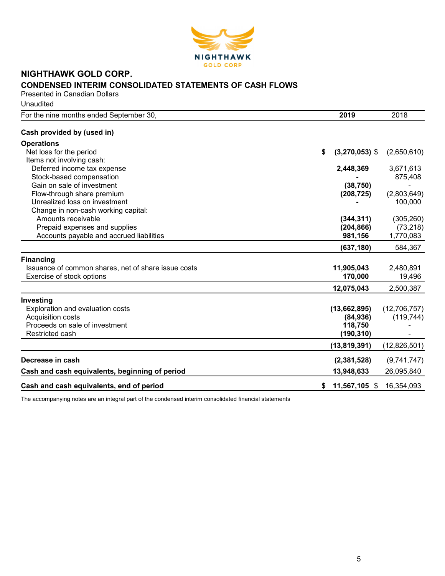

# NIGHTHAWK GOLD CORP. CONDENSED INTERIM CONSOLIDATED STATEMENTS OF CASH FLOWS Presented in Canadian Dollars

**Unaudited** 

| For the nine months ended September 30,<br>2019                   |                  | 2018         |
|-------------------------------------------------------------------|------------------|--------------|
| Cash provided by (used in)                                        |                  |              |
| <b>Operations</b>                                                 |                  |              |
| Net loss for the period<br>\$                                     | $(3,270,053)$ \$ | (2,650,610)  |
| Items not involving cash:                                         |                  |              |
| Deferred income tax expense                                       | 2,448,369        | 3,671,613    |
| Stock-based compensation                                          |                  | 875,408      |
| Gain on sale of investment                                        | (38, 750)        |              |
| Flow-through share premium                                        | (208, 725)       | (2,803,649)  |
| Unrealized loss on investment                                     |                  | 100,000      |
| Change in non-cash working capital:                               |                  |              |
| Amounts receivable                                                | (344, 311)       | (305, 260)   |
| Prepaid expenses and supplies                                     | (204, 866)       | (73, 218)    |
| Accounts payable and accrued liabilities                          | 981,156          | 1,770,083    |
|                                                                   | (637, 180)       | 584,367      |
| <b>Financing</b>                                                  |                  |              |
| Issuance of common shares, net of share issue costs<br>11,905,043 |                  | 2,480,891    |
| Exercise of stock options                                         | 170,000          | 19,496       |
| 12,075,043                                                        |                  | 2,500,387    |
| Investing                                                         |                  |              |
| Exploration and evaluation costs                                  | (13,662,895)     | (12,706,757) |
| Acquisition costs                                                 | (84, 936)        | (119, 744)   |
| Proceeds on sale of investment                                    | 118,750          |              |
| Restricted cash                                                   | (190, 310)       |              |
|                                                                   | (13, 819, 391)   | (12,826,501) |
| Decrease in cash                                                  | (2,381,528)      | (9,741,747)  |
| Cash and cash equivalents, beginning of period                    | 13,948,633       | 26,095,840   |
| Cash and cash equivalents, end of period<br>\$                    | 11,567,105 \$    | 16,354,093   |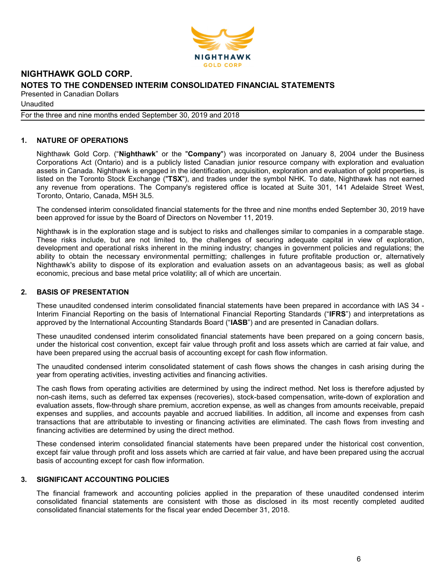

Unaudited

For the three and nine months ended September 30, 2019 and 2018

# 1. NATURE OF OPERATIONS

Nighthawk Gold Corp. ("Nighthawk" or the "Company") was incorporated on January 8, 2004 under the Business Corporations Act (Ontario) and is a publicly listed Canadian junior resource company with exploration and evaluation assets in Canada. Nighthawk is engaged in the identification, acquisition, exploration and evaluation of gold properties, is listed on the Toronto Stock Exchange ("TSX"), and trades under the symbol NHK. To date, Nighthawk has not earned any revenue from operations. The Company's registered office is located at Suite 301, 141 Adelaide Street West, Toronto, Ontario, Canada, M5H 3L5.

The condensed interim consolidated financial statements for the three and nine months ended September 30, 2019 have been approved for issue by the Board of Directors on November 11, 2019.

Nighthawk is in the exploration stage and is subject to risks and challenges similar to companies in a comparable stage. These risks include, but are not limited to, the challenges of securing adequate capital in view of exploration, development and operational risks inherent in the mining industry; changes in government policies and regulations; the ability to obtain the necessary environmental permitting; challenges in future profitable production or, alternatively Nighthawk's ability to dispose of its exploration and evaluation assets on an advantageous basis; as well as global economic, precious and base metal price volatility; all of which are uncertain.

## 2. BASIS OF PRESENTATION

These unaudited condensed interim consolidated financial statements have been prepared in accordance with IAS 34 - Interim Financial Reporting on the basis of International Financial Reporting Standards ("IFRS") and interpretations as approved by the International Accounting Standards Board ("IASB") and are presented in Canadian dollars.

These unaudited condensed interim consolidated financial statements have been prepared on a going concern basis, under the historical cost convention, except fair value through profit and loss assets which are carried at fair value, and have been prepared using the accrual basis of accounting except for cash flow information.

The unaudited condensed interim consolidated statement of cash flows shows the changes in cash arising during the year from operating activities, investing activities and financing activities.

The cash flows from operating activities are determined by using the indirect method. Net loss is therefore adjusted by non-cash items, such as deferred tax expenses (recoveries), stock-based compensation, write-down of exploration and evaluation assets, flow-through share premium, accretion expense, as well as changes from amounts receivable, prepaid expenses and supplies, and accounts payable and accrued liabilities. In addition, all income and expenses from cash transactions that are attributable to investing or financing activities are eliminated. The cash flows from investing and financing activities are determined by using the direct method.

These condensed interim consolidated financial statements have been prepared under the historical cost convention, except fair value through profit and loss assets which are carried at fair value, and have been prepared using the accrual basis of accounting except for cash flow information.

# 3. SIGNIFICANT ACCOUNTING POLICIES

The financial framework and accounting policies applied in the preparation of these unaudited condensed interim consolidated financial statements are consistent with those as disclosed in its most recently completed audited consolidated financial statements for the fiscal year ended December 31, 2018.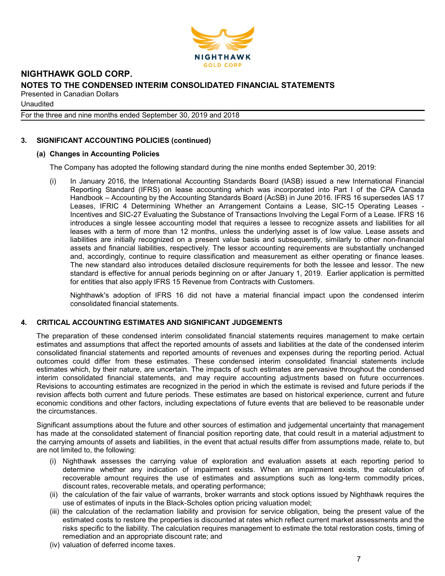

Unaudited

For the three and nine months ended September 30, 2019 and 2018

# 3. SIGNIFICANT ACCOUNTING POLICIES (continued)

# (a) Changes in Accounting Policies

The Company has adopted the following standard during the nine months ended September 30, 2019:

(i) In January 2016, the International Accounting Standards Board (IASB) issued a new International Financial Reporting Standard (IFRS) on lease accounting which was incorporated into Part I of the CPA Canada Handbook – Accounting by the Accounting Standards Board (AcSB) in June 2016. IFRS 16 supersedes IAS 17 Leases, IFRIC 4 Determining Whether an Arrangement Contains a Lease, SIC-15 Operating Leases - Incentives and SIC-27 Evaluating the Substance of Transactions Involving the Legal Form of a Lease. IFRS 16 introduces a single lessee accounting model that requires a lessee to recognize assets and liabilities for all leases with a term of more than 12 months, unless the underlying asset is of low value. Lease assets and liabilities are initially recognized on a present value basis and subsequently, similarly to other non-financial assets and financial liabilities, respectively. The lessor accounting requirements are substantially unchanged and, accordingly, continue to require classification and measurement as either operating or finance leases. The new standard also introduces detailed disclosure requirements for both the lessee and lessor. The new standard is effective for annual periods beginning on or after January 1, 2019. Earlier application is permitted for entities that also apply IFRS 15 Revenue from Contracts with Customers.

Nighthawk's adoption of IFRS 16 did not have a material financial impact upon the condensed interim consolidated financial statements.

# 4. CRITICAL ACCOUNTING ESTIMATES AND SIGNIFICANT JUDGEMENTS

The preparation of these condensed interim consolidated financial statements requires management to make certain estimates and assumptions that affect the reported amounts of assets and liabilities at the date of the condensed interim consolidated financial statements and reported amounts of revenues and expenses during the reporting period. Actual outcomes could differ from these estimates. These condensed interim consolidated financial statements include estimates which, by their nature, are uncertain. The impacts of such estimates are pervasive throughout the condensed interim consolidated financial statements, and may require accounting adjustments based on future occurrences. Revisions to accounting estimates are recognized in the period in which the estimate is revised and future periods if the revision affects both current and future periods. These estimates are based on historical experience, current and future economic conditions and other factors, including expectations of future events that are believed to be reasonable under the circumstances.

Significant assumptions about the future and other sources of estimation and judgemental uncertainty that management has made at the consolidated statement of financial position reporting date, that could result in a material adjustment to the carrying amounts of assets and liabilities, in the event that actual results differ from assumptions made, relate to, but are not limited to, the following:

- (i) Nighthawk assesses the carrying value of exploration and evaluation assets at each reporting period to determine whether any indication of impairment exists. When an impairment exists, the calculation of recoverable amount requires the use of estimates and assumptions such as long-term commodity prices, discount rates, recoverable metals, and operating performance;
- (ii) the calculation of the fair value of warrants, broker warrants and stock options issued by Nighthawk requires the use of estimates of inputs in the Black-Scholes option pricing valuation model;
- (iii) the calculation of the reclamation liability and provision for service obligation, being the present value of the estimated costs to restore the properties is discounted at rates which reflect current market assessments and the risks specific to the liability. The calculation requires management to estimate the total restoration costs, timing of remediation and an appropriate discount rate; and
- (iv) valuation of deferred income taxes.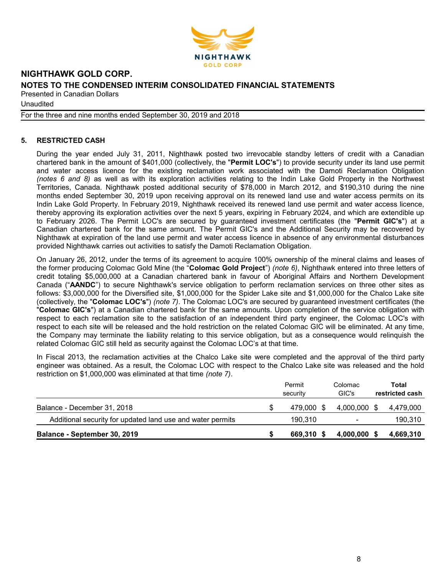

Unaudited

#### For the three and nine months ended September 30, 2019 and 2018

# 5. RESTRICTED CASH

During the year ended July 31, 2011, Nighthawk posted two irrevocable standby letters of credit with a Canadian chartered bank in the amount of \$401,000 (collectively, the "Permit LOC's") to provide security under its land use permit and water access licence for the existing reclamation work associated with the Damoti Reclamation Obligation (notes 6 and 8) as well as with its exploration activities relating to the Indin Lake Gold Property in the Northwest Territories, Canada. Nighthawk posted additional security of \$78,000 in March 2012, and \$190,310 during the nine months ended September 30, 2019 upon receiving approval on its renewed land use and water access permits on its Indin Lake Gold Property. In February 2019, Nighthawk received its renewed land use permit and water access licence, thereby approving its exploration activities over the next 5 years, expiring in February 2024, and which are extendible up to February 2026. The Permit LOC's are secured by guaranteed investment certificates (the "Permit GIC's") at a Canadian chartered bank for the same amount. The Permit GIC's and the Additional Security may be recovered by Nighthawk at expiration of the land use permit and water access licence in absence of any environmental disturbances provided Nighthawk carries out activities to satisfy the Damoti Reclamation Obligation.

On January 26, 2012, under the terms of its agreement to acquire 100% ownership of the mineral claims and leases of the former producing Colomac Gold Mine (the "Colomac Gold Project") (note 6), Nighthawk entered into three letters of credit totaling \$5,000,000 at a Canadian chartered bank in favour of Aboriginal Affairs and Northern Development Canada ("AANDC") to secure Nighthawk's service obligation to perform reclamation services on three other sites as follows: \$3,000,000 for the Diversified site, \$1,000,000 for the Spider Lake site and \$1,000,000 for the Chalco Lake site (collectively, the "Colomac LOC's") (note 7). The Colomac LOC's are secured by guaranteed investment certificates (the "Colomac GIC's") at a Canadian chartered bank for the same amounts. Upon completion of the service obligation with respect to each reclamation site to the satisfaction of an independent third party engineer, the Colomac LOC's with respect to each site will be released and the hold restriction on the related Colomac GIC will be eliminated. At any time, the Company may terminate the liability relating to this service obligation, but as a consequence would relinquish the related Colomac GIC still held as security against the Colomac LOC's at that time.

In Fiscal 2013, the reclamation activities at the Chalco Lake site were completed and the approval of the third party engineer was obtained. As a result, the Colomac LOC with respect to the Chalco Lake site was released and the hold restriction on \$1,000,000 was eliminated at that time (note 7).

|                                                            | Permit<br>security | Colomac<br>GIC's | Total<br>restricted cash |
|------------------------------------------------------------|--------------------|------------------|--------------------------|
| Balance - December 31, 2018                                | 479.000 \$         | 4.000.000 \$     | 4.479.000                |
| Additional security for updated land use and water permits | 190.310            | $\blacksquare$   | 190,310                  |
| Balance - September 30, 2019                               | 669,310 \$         | $4,000,000$ \$   | 4,669,310                |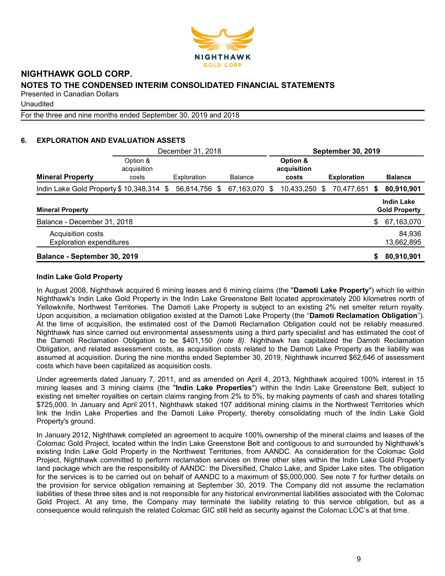

Unaudited

For the three and nine months ended September 30, 2019 and 2018

# 6. EXPLORATION AND EVALUATION ASSETS

|                                                      |                                  | December 31, 2018 |    |                |     |                                  |   | <b>September 30, 2019</b> |    |                                           |
|------------------------------------------------------|----------------------------------|-------------------|----|----------------|-----|----------------------------------|---|---------------------------|----|-------------------------------------------|
| <b>Mineral Property</b>                              | Option &<br>acquisition<br>costs | Exploration       |    | <b>Balance</b> |     | Option &<br>acquisition<br>costs |   | <b>Exploration</b>        |    | <b>Balance</b>                            |
| Indin Lake Gold Property \$10,348,314 \$             |                                  | 56,814,756        | -S | 67,163,070     | \$. | 10,433,250                       | S | 70,477,651                | S  | 80,910,901                                |
| <b>Mineral Property</b>                              |                                  |                   |    |                |     |                                  |   |                           |    | <b>Indin Lake</b><br><b>Gold Property</b> |
| Balance - December 31, 2018                          |                                  |                   |    |                |     |                                  |   |                           | \$ | 67,163,070                                |
| Acquisition costs<br><b>Exploration expenditures</b> |                                  |                   |    |                |     |                                  |   |                           |    | 84,936<br>13,662,895                      |
| Balance - September 30, 2019                         |                                  |                   |    |                |     |                                  |   |                           | S  | 80,910,901                                |

## Indin Lake Gold Property

In August 2008, Nighthawk acquired 6 mining leases and 6 mining claims (the "Damoti Lake Property") which lie within Nighthawk's Indin Lake Gold Property in the Indin Lake Greenstone Belt located approximately 200 kilometres north of Yellowknife, Northwest Territories. The Damoti Lake Property is subject to an existing 2% net smelter return royalty. Upon acquisition, a reclamation obligation existed at the Damoti Lake Property (the "Damoti Reclamation Obligation"). At the time of acquisition, the estimated cost of the Damoti Reclamation Obligation could not be reliably measured. Nighthawk has since carried out environmental assessments using a third party specialist and has estimated the cost of the Damoti Reclamation Obligation to be \$401,150 (note 8). Nighthawk has capitalized the Damoti Reclamation Obligation, and related assessment costs, as acquisition costs related to the Damoti Lake Property as the liability was assumed at acquisition. During the nine months ended September 30, 2019, Nighthawk incurred \$62,646 of assessment costs which have been capitalized as acquisition costs.

Under agreements dated January 7, 2011, and as amended on April 4, 2013, Nighthawk acquired 100% interest in 15 mining leases and 3 mining claims (the "Indin Lake Properties") within the Indin Lake Greenstone Belt, subject to existing net smelter royalties on certain claims ranging from 2% to 5%, by making payments of cash and shares totalling \$725,000. In January and April 2011, Nighthawk staked 107 additional mining claims in the Northwest Territories which link the Indin Lake Properties and the Damoti Lake Property, thereby consolidating much of the Indin Lake Gold Property's ground.

In January 2012, Nighthawk completed an agreement to acquire 100% ownership of the mineral claims and leases of the Colomac Gold Project, located within the Indin Lake Greenstone Belt and contiguous to and surrounded by Nighthawk's existing Indin Lake Gold Property in the Northwest Territories, from AANDC. As consideration for the Colomac Gold Project, Nighthawk committed to perform reclamation services on three other sites within the Indin Lake Gold Property land package which are the responsibility of AANDC: the Diversified, Chalco Lake, and Spider Lake sites. The obligation for the services is to be carried out on behalf of AANDC to a maximum of \$5,000,000. See note 7 for further details on the provision for service obligation remaining at September 30, 2019. The Company did not assume the reclamation liabilities of these three sites and is not responsible for any historical environmental liabilities associated with the Colomac Gold Project. At any time, the Company may terminate the liability relating to this service obligation, but as a consequence would relinquish the related Colomac GIC still held as security against the Colomac LOC's at that time.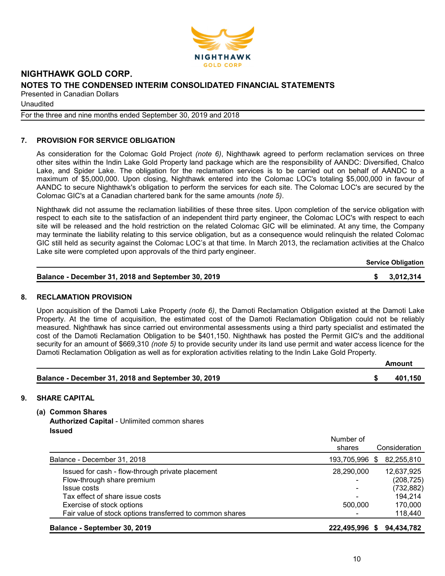

Unaudited

For the three and nine months ended September 30, 2019 and 2018

# 7. PROVISION FOR SERVICE OBLIGATION

As consideration for the Colomac Gold Project (note 6), Nighthawk agreed to perform reclamation services on three other sites within the Indin Lake Gold Property land package which are the responsibility of AANDC: Diversified, Chalco Lake, and Spider Lake. The obligation for the reclamation services is to be carried out on behalf of AANDC to a maximum of \$5,000,000. Upon closing, Nighthawk entered into the Colomac LOC's totaling \$5,000,000 in favour of AANDC to secure Nighthawk's obligation to perform the services for each site. The Colomac LOC's are secured by the Colomac GIC's at a Canadian chartered bank for the same amounts (note 5).

Nighthawk did not assume the reclamation liabilities of these three sites. Upon completion of the service obligation with respect to each site to the satisfaction of an independent third party engineer, the Colomac LOC's with respect to each site will be released and the hold restriction on the related Colomac GIC will be eliminated. At any time, the Company may terminate the liability relating to this service obligation, but as a consequence would relinquish the related Colomac GIC still held as security against the Colomac LOC's at that time. In March 2013, the reclamation activities at the Chalco Lake site were completed upon approvals of the third party engineer.

|  | <b>Service Obligation</b> |
|--|---------------------------|
|--|---------------------------|

| Balance - December 31, 2018 and September 30, 2019 | \$3,012,314 |
|----------------------------------------------------|-------------|
|                                                    |             |

#### 8. RECLAMATION PROVISION

Upon acquisition of the Damoti Lake Property (note 6), the Damoti Reclamation Obligation existed at the Damoti Lake Property. At the time of acquisition, the estimated cost of the Damoti Reclamation Obligation could not be reliably measured. Nighthawk has since carried out environmental assessments using a third party specialist and estimated the cost of the Damoti Reclamation Obligation to be \$401,150. Nighthawk has posted the Permit GIC's and the additional security for an amount of \$669,310 (note 5) to provide security under its land use permit and water access licence for the Damoti Reclamation Obligation as well as for exploration activities relating to the Indin Lake Gold Property.

|                                                    | Amount  |
|----------------------------------------------------|---------|
| Balance - December 31, 2018 and September 30, 2019 | 401.150 |

# 9. SHARE CAPITAL

(a) Common Shares

Authorized Capital - Unlimited common shares Issued

|                                                          | Number of<br>shares | Consideration |
|----------------------------------------------------------|---------------------|---------------|
| Balance - December 31, 2018                              | 193,705,996<br>\$.  | 82,255,810    |
| Issued for cash - flow-through private placement         | 28,290,000          | 12,637,925    |
| Flow-through share premium                               |                     | (208, 725)    |
| Issue costs                                              |                     | (732, 882)    |
| Tax effect of share issue costs                          |                     | 194,214       |
| Exercise of stock options                                | 500,000             | 170,000       |
| Fair value of stock options transferred to common shares |                     | 118,440       |
| Balance - September 30, 2019                             | 222.495.996<br>S.   | 94,434,782    |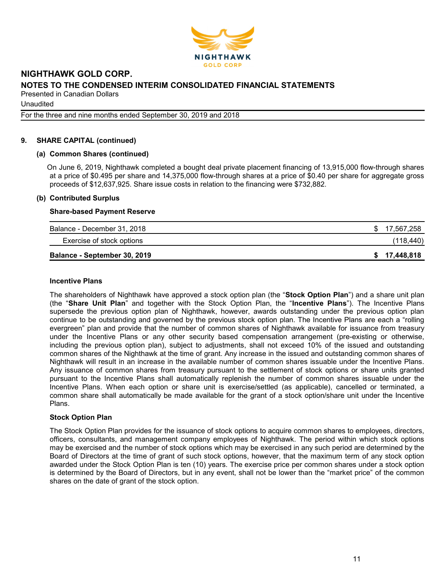

**Unaudited** 

For the three and nine months ended September 30, 2019 and 2018

### 9. SHARE CAPITAL (continued)

#### (a) Common Shares (continued)

On June 6, 2019, Nighthawk completed a bought deal private placement financing of 13,915,000 flow-through shares at a price of \$0.495 per share and 14,375,000 flow-through shares at a price of \$0.40 per share for aggregate gross proceeds of \$12,637,925. Share issue costs in relation to the financing were \$732,882.

#### (b) Contributed Surplus

#### Share-based Payment Reserve

| Balance - December 31, 2018  | \$17,567,258 |
|------------------------------|--------------|
| Exercise of stock options    | (118, 440)   |
| Balance - September 30, 2019 | \$17,448,818 |

#### Incentive Plans

The shareholders of Nighthawk have approved a stock option plan (the "Stock Option Plan") and a share unit plan (the "Share Unit Plan" and together with the Stock Option Plan, the "Incentive Plans"). The Incentive Plans supersede the previous option plan of Nighthawk, however, awards outstanding under the previous option plan continue to be outstanding and governed by the previous stock option plan. The Incentive Plans are each a "rolling evergreen" plan and provide that the number of common shares of Nighthawk available for issuance from treasury under the Incentive Plans or any other security based compensation arrangement (pre-existing or otherwise, including the previous option plan), subject to adjustments, shall not exceed 10% of the issued and outstanding common shares of the Nighthawk at the time of grant. Any increase in the issued and outstanding common shares of Nighthawk will result in an increase in the available number of common shares issuable under the Incentive Plans. Any issuance of common shares from treasury pursuant to the settlement of stock options or share units granted pursuant to the Incentive Plans shall automatically replenish the number of common shares issuable under the Incentive Plans. When each option or share unit is exercise/settled (as applicable), cancelled or terminated, a common share shall automatically be made available for the grant of a stock option/share unit under the Incentive Plans.

#### Stock Option Plan

The Stock Option Plan provides for the issuance of stock options to acquire common shares to employees, directors, officers, consultants, and management company employees of Nighthawk. The period within which stock options may be exercised and the number of stock options which may be exercised in any such period are determined by the Board of Directors at the time of grant of such stock options, however, that the maximum term of any stock option awarded under the Stock Option Plan is ten (10) years. The exercise price per common shares under a stock option is determined by the Board of Directors, but in any event, shall not be lower than the "market price" of the common shares on the date of grant of the stock option.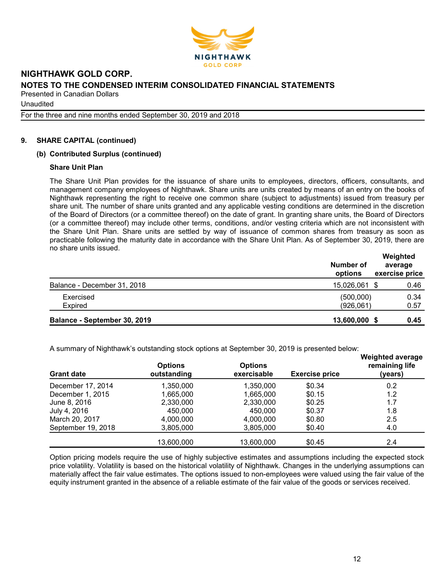

Unaudited

For the three and nine months ended September 30, 2019 and 2018

# 9. SHARE CAPITAL (continued)

## (b) Contributed Surplus (continued)

### Share Unit Plan

The Share Unit Plan provides for the issuance of share units to employees, directors, officers, consultants, and management company employees of Nighthawk. Share units are units created by means of an entry on the books of Nighthawk representing the right to receive one common share (subject to adjustments) issued from treasury per share unit. The number of share units granted and any applicable vesting conditions are determined in the discretion of the Board of Directors (or a committee thereof) on the date of grant. In granting share units, the Board of Directors (or a committee thereof) may include other terms, conditions, and/or vesting criteria which are not inconsistent with the Share Unit Plan. Share units are settled by way of issuance of common shares from treasury as soon as practicable following the maturity date in accordance with the Share Unit Plan. As of September 30, 2019, there are no share units issued.

|                              | Number of<br>options   | Weighted<br>average<br>exercise price |
|------------------------------|------------------------|---------------------------------------|
| Balance - December 31, 2018  | 15,026,061 \$          | 0.46                                  |
| Exercised<br><b>Expired</b>  | (500,000)<br>(926,061) | 0.34<br>0.57                          |
| Balance - September 30, 2019 | 13,600,000 \$          | 0.45                                  |

A summary of Nighthawk's outstanding stock options at September 30, 2019 is presented below:

| <b>Grant date</b>  | <b>Options</b><br>outstanding | <b>Options</b><br>exercisable | <b>Exercise price</b> | <b>Weighted average</b><br>remaining life<br>(years) |  |  |
|--------------------|-------------------------------|-------------------------------|-----------------------|------------------------------------------------------|--|--|
| December 17, 2014  | 1,350,000                     | 1.350.000                     | \$0.34                | 0.2                                                  |  |  |
| December 1, 2015   | 1,665,000                     | 1,665,000                     | \$0.15                | 1.2                                                  |  |  |
| June 8, 2016       | 2,330,000                     | 2,330,000                     | \$0.25                | 1.7                                                  |  |  |
| July 4, 2016       | 450,000                       | 450,000                       | \$0.37                | 1.8                                                  |  |  |
| March 20, 2017     | 4,000,000                     | 4,000,000                     | \$0.80                | 2.5                                                  |  |  |
| September 19, 2018 | 3,805,000                     | 3,805,000                     | \$0.40                | 4.0                                                  |  |  |
|                    | 13,600,000                    | 13,600,000                    | \$0.45                | 2.4                                                  |  |  |

Option pricing models require the use of highly subjective estimates and assumptions including the expected stock price volatility. Volatility is based on the historical volatility of Nighthawk. Changes in the underlying assumptions can materially affect the fair value estimates. The options issued to non-employees were valued using the fair value of the equity instrument granted in the absence of a reliable estimate of the fair value of the goods or services received.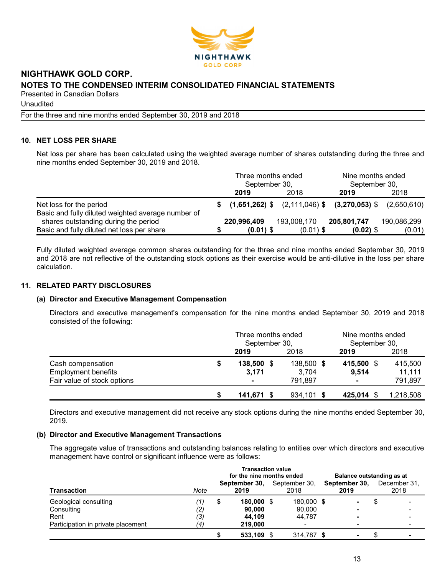

Unaudited

For the three and nine months ended September 30, 2019 and 2018

# 10. NET LOSS PER SHARE

Net loss per share has been calculated using the weighted average number of shares outstanding during the three and nine months ended September 30, 2019 and 2018.

|                                                                               | Three months ended<br>September 30, |             | Nine months ended<br>September 30, |                                                              |             |
|-------------------------------------------------------------------------------|-------------------------------------|-------------|------------------------------------|--------------------------------------------------------------|-------------|
|                                                                               |                                     | 2019        | 2018                               | 2019                                                         | 2018        |
| Net loss for the period<br>Basic and fully diluted weighted average number of |                                     |             |                                    | $$$ (1,651,262) \$ (2,111,046) \$ (3,270,053) \$ (2,650,610) |             |
| shares outstanding during the period                                          |                                     | 220,996,409 | 193,008,170                        | 205,801,747                                                  | 190,086,299 |
| Basic and fully diluted net loss per share                                    |                                     | $(0.01)$ \$ | $(0.01)$ \$                        | $(0.02)$ \$                                                  | (0.01)      |

Fully diluted weighted average common shares outstanding for the three and nine months ended September 30, 2019 and 2018 are not reflective of the outstanding stock options as their exercise would be anti-dilutive in the loss per share calculation.

## 11. RELATED PARTY DISCLOSURES

#### (a) Director and Executive Management Compensation

Directors and executive management's compensation for the nine months ended September 30, 2019 and 2018 consisted of the following:

|                             | Three months ended<br>September 30, |              | Nine months ended<br>September 30, |           |  |
|-----------------------------|-------------------------------------|--------------|------------------------------------|-----------|--|
|                             | 2019                                | 2018         | 2019                               | 2018      |  |
| Cash compensation           | $138,500$ \$                        | 138,500 \$   | 415,500 \$                         | 415,500   |  |
| <b>Employment benefits</b>  | 3,171                               | 3.704        | 9.514                              | 11,111    |  |
| Fair value of stock options | $\blacksquare$                      | 791.897      | $\blacksquare$                     | 791,897   |  |
|                             | 141,671                             | $934,101$ \$ | 425,014 \$                         | 1,218,508 |  |

Directors and executive management did not receive any stock options during the nine months ended September 30, 2019.

#### (b) Director and Executive Management Transactions

The aggregate value of transactions and outstanding balances relating to entities over which directors and executive management have control or significant influence were as follows:

|                                    | <b>Transaction value</b><br>for the nine months ended |                       |            |                       |                          |                       |   |                      | Balance outstanding as at |  |
|------------------------------------|-------------------------------------------------------|-----------------------|------------|-----------------------|--------------------------|-----------------------|---|----------------------|---------------------------|--|
| <b>Transaction</b>                 | Note                                                  | September 30,<br>2019 |            | September 30,<br>2018 |                          | September 30,<br>2019 |   | December 31.<br>2018 |                           |  |
| Geological consulting              | (1)                                                   | D                     | 180,000 \$ |                       | 180,000 \$               |                       | ۰ |                      |                           |  |
| Consulting                         | (2)                                                   |                       | 90.000     |                       | 90.000                   |                       | - |                      |                           |  |
| Rent                               | (3)                                                   |                       | 44.109     |                       | 44.787                   |                       | - |                      |                           |  |
| Participation in private placement | $\left( 4\right)$                                     |                       | 219,000    |                       | $\overline{\phantom{a}}$ |                       | - |                      |                           |  |
|                                    |                                                       |                       | 533.109    |                       | 314.787 \$               |                       | - |                      |                           |  |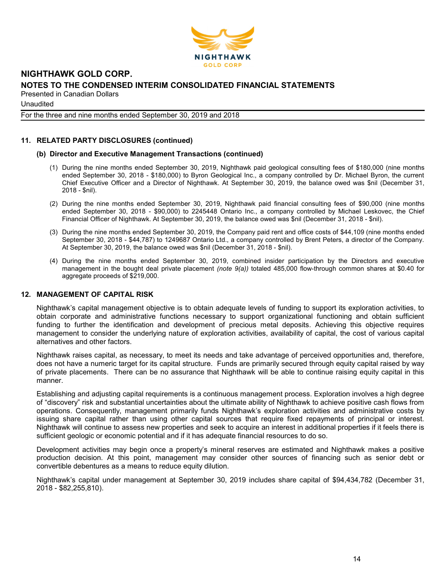

**Unaudited** 

For the three and nine months ended September 30, 2019 and 2018

# 11. RELATED PARTY DISCLOSURES (continued)

#### (b) Director and Executive Management Transactions (continued)

- (1) During the nine months ended September 30, 2019, Nighthawk paid geological consulting fees of \$180,000 (nine months ended September 30, 2018 - \$180,000) to Byron Geological Inc., a company controlled by Dr. Michael Byron, the current Chief Executive Officer and a Director of Nighthawk. At September 30, 2019, the balance owed was \$nil (December 31, 2018 - \$nil).
- (2) During the nine months ended September 30, 2019, Nighthawk paid financial consulting fees of \$90,000 (nine months ended September 30, 2018 - \$90,000) to 2245448 Ontario Inc., a company controlled by Michael Leskovec, the Chief Financial Officer of Nighthawk. At September 30, 2019, the balance owed was \$nil (December 31, 2018 - \$nil).
- (3) During the nine months ended September 30, 2019, the Company paid rent and office costs of \$44,109 (nine months ended September 30, 2018 - \$44,787) to 1249687 Ontario Ltd., a company controlled by Brent Peters, a director of the Company. At September 30, 2019, the balance owed was \$nil (December 31, 2018 - \$nil).
- (4) During the nine months ended September 30, 2019, combined insider participation by the Directors and executive management in the bought deal private placement (note  $9(a)$ ) totaled 485,000 flow-through common shares at \$0.40 for aggregate proceeds of \$219,000.

#### 12. MANAGEMENT OF CAPITAL RISK

Nighthawk's capital management objective is to obtain adequate levels of funding to support its exploration activities, to obtain corporate and administrative functions necessary to support organizational functioning and obtain sufficient funding to further the identification and development of precious metal deposits. Achieving this objective requires management to consider the underlying nature of exploration activities, availability of capital, the cost of various capital alternatives and other factors.

Nighthawk raises capital, as necessary, to meet its needs and take advantage of perceived opportunities and, therefore, does not have a numeric target for its capital structure. Funds are primarily secured through equity capital raised by way of private placements. There can be no assurance that Nighthawk will be able to continue raising equity capital in this manner.

Establishing and adjusting capital requirements is a continuous management process. Exploration involves a high degree of "discovery" risk and substantial uncertainties about the ultimate ability of Nighthawk to achieve positive cash flows from operations. Consequently, management primarily funds Nighthawk's exploration activities and administrative costs by issuing share capital rather than using other capital sources that require fixed repayments of principal or interest. Nighthawk will continue to assess new properties and seek to acquire an interest in additional properties if it feels there is sufficient geologic or economic potential and if it has adequate financial resources to do so.

Development activities may begin once a property's mineral reserves are estimated and Nighthawk makes a positive production decision. At this point, management may consider other sources of financing such as senior debt or convertible debentures as a means to reduce equity dilution.

Nighthawk's capital under management at September 30, 2019 includes share capital of \$94,434,782 (December 31, 2018 - \$82,255,810).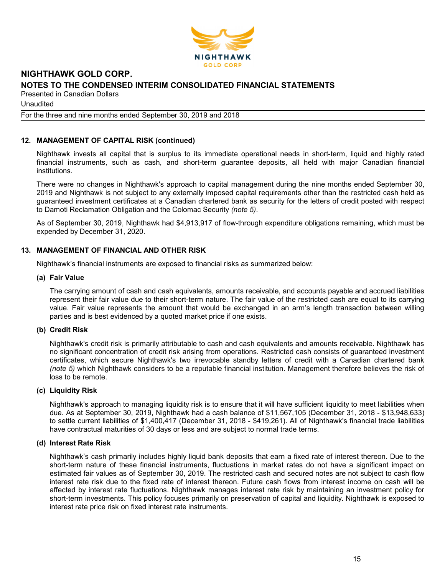

**Unaudited** 

For the three and nine months ended September 30, 2019 and 2018

## 12. MANAGEMENT OF CAPITAL RISK (continued)

Nighthawk invests all capital that is surplus to its immediate operational needs in short-term, liquid and highly rated financial instruments, such as cash, and short-term guarantee deposits, all held with major Canadian financial institutions.

There were no changes in Nighthawk's approach to capital management during the nine months ended September 30, 2019 and Nighthawk is not subject to any externally imposed capital requirements other than the restricted cash held as guaranteed investment certificates at a Canadian chartered bank as security for the letters of credit posted with respect to Damoti Reclamation Obligation and the Colomac Security (note 5).

As of September 30, 2019, Nighthawk had \$4,913,917 of flow-through expenditure obligations remaining, which must be expended by December 31, 2020.

## 13. MANAGEMENT OF FINANCIAL AND OTHER RISK

Nighthawk's financial instruments are exposed to financial risks as summarized below:

#### (a) Fair Value

The carrying amount of cash and cash equivalents, amounts receivable, and accounts payable and accrued liabilities represent their fair value due to their short-term nature. The fair value of the restricted cash are equal to its carrying value. Fair value represents the amount that would be exchanged in an arm's length transaction between willing parties and is best evidenced by a quoted market price if one exists.

#### (b) Credit Risk

Nighthawk's credit risk is primarily attributable to cash and cash equivalents and amounts receivable. Nighthawk has no significant concentration of credit risk arising from operations. Restricted cash consists of guaranteed investment certificates, which secure Nighthawk's two irrevocable standby letters of credit with a Canadian chartered bank (note 5) which Nighthawk considers to be a reputable financial institution. Management therefore believes the risk of loss to be remote.

#### (c) Liquidity Risk

Nighthawk's approach to managing liquidity risk is to ensure that it will have sufficient liquidity to meet liabilities when due. As at September 30, 2019, Nighthawk had a cash balance of \$11,567,105 (December 31, 2018 - \$13,948,633) to settle current liabilities of \$1,400,417 (December 31, 2018 - \$419,261). All of Nighthawk's financial trade liabilities have contractual maturities of 30 days or less and are subject to normal trade terms.

#### (d) Interest Rate Risk

Nighthawk's cash primarily includes highly liquid bank deposits that earn a fixed rate of interest thereon. Due to the short-term nature of these financial instruments, fluctuations in market rates do not have a significant impact on estimated fair values as of September 30, 2019. The restricted cash and secured notes are not subject to cash flow interest rate risk due to the fixed rate of interest thereon. Future cash flows from interest income on cash will be affected by interest rate fluctuations. Nighthawk manages interest rate risk by maintaining an investment policy for short-term investments. This policy focuses primarily on preservation of capital and liquidity. Nighthawk is exposed to interest rate price risk on fixed interest rate instruments.